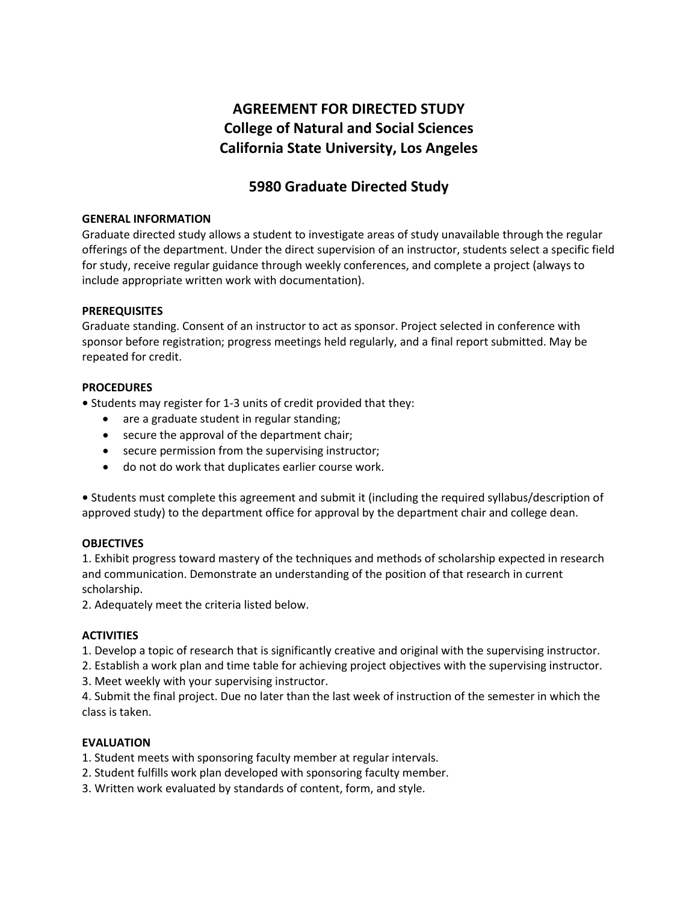## **AGREEMENT FOR DIRECTED STUDY College of Natural and Social Sciences California State University, Los Angeles**

### **5980 Graduate Directed Study**

#### **GENERAL INFORMATION**

Graduate directed study allows a student to investigate areas of study unavailable through the regular offerings of the department. Under the direct supervision of an instructor, students select a specific field for study, receive regular guidance through weekly conferences, and complete a project (always to include appropriate written work with documentation).

#### **PREREQUISITES**

Graduate standing. Consent of an instructor to act as sponsor. Project selected in conference with sponsor before registration; progress meetings held regularly, and a final report submitted. May be repeated for credit.

#### **PROCEDURES**

**•** Students may register for 1-3 units of credit provided that they:

- are a graduate student in regular standing;
- secure the approval of the department chair;
- secure permission from the supervising instructor;
- do not do work that duplicates earlier course work.

**•** Students must complete this agreement and submit it (including the required syllabus/description of approved study) to the department office for approval by the department chair and college dean.

#### **OBJECTIVES**

1. Exhibit progress toward mastery of the techniques and methods of scholarship expected in research and communication. Demonstrate an understanding of the position of that research in current scholarship.

2. Adequately meet the criteria listed below.

#### **ACTIVITIES**

1. Develop a topic of research that is significantly creative and original with the supervising instructor.

2. Establish a work plan and time table for achieving project objectives with the supervising instructor.

3. Meet weekly with your supervising instructor.

4. Submit the final project. Due no later than the last week of instruction of the semester in which the class is taken.

#### **EVALUATION**

- 1. Student meets with sponsoring faculty member at regular intervals.
- 2. Student fulfills work plan developed with sponsoring faculty member.
- 3. Written work evaluated by standards of content, form, and style.